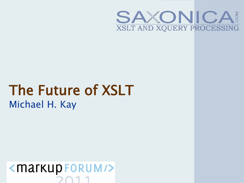

## The Future of XSLT Michael H. Kay

 $\langle$  markup FORUM/ $\rangle$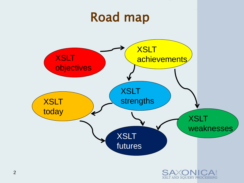

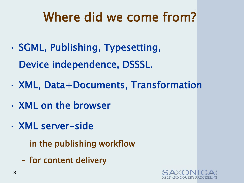# Where did we come from?

- SGML, Publishing, Typesetting, Device independence, DSSSL.
- XML, Data+Documents, Transformation
- XML on the browser
- XML server-side
	- in the publishing workflow
	- for content delivery

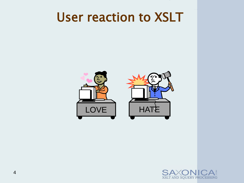### User reaction to XSLT





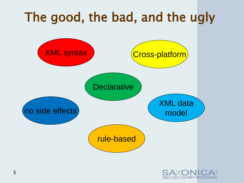

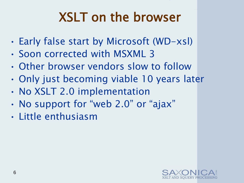# XSLT on the browser

- Early false start by Microsoft (WD-xsl)
- Soon corrected with MSXML 3
- Other browser vendors slow to follow
- Only just becoming viable 10 years later
- No XSLT 2.0 implementation
- No support for "web 2.0" or "ajax"
- Little enthusiasm

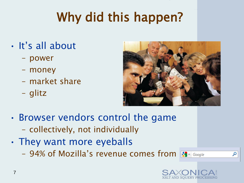# Why did this happen?

- It's all about
	- power
	- money
	- market share
	- glitz



- Browser vendors control the game
	- collectively, not individually
- They want more eyeballs
	- 94% of Mozilla's revenue comes from  $\frac{1}{\sqrt{3}}$  Google



م

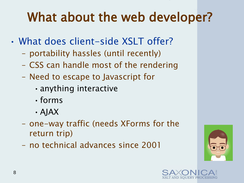# What about the web developer?

- What does client-side XSLT offer?
	- portability hassles (until recently)
	- CSS can handle most of the rendering
	- Need to escape to Javascript for
		- •anything interactive
		- •forms
		- •AJAX
	- one-way traffic (needs XForms for the return trip)
	- no technical advances since 2001



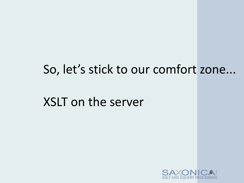### So, let's stick to our comfort zone...

XSLT on the server

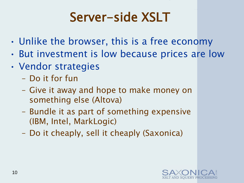# Server-side XSLT

- Unlike the browser, this is a free economy
- But investment is low because prices are low
- Vendor strategies
	- Do it for fun
	- Give it away and hope to make money on something else (Altova)
	- Bundle it as part of something expensive (IBM, Intel, MarkLogic)
	- Do it cheaply, sell it cheaply (Saxonica)

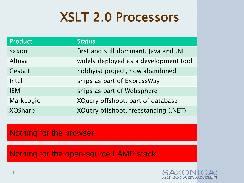## XSLT 2.0 Processors

| <b>Product</b> | <b>Status</b>                           |
|----------------|-----------------------------------------|
| Saxon          | first and still dominant. Java and .NET |
| Altova         | widely deployed as a development tool   |
| Gestalt        | hobbyist project, now abandoned         |
| Intel          | ships as part of ExpressWay             |
| <b>IBM</b>     | ships as part of Websphere              |
| MarkLogic      | XQuery offshoot, part of database       |
| <b>XQSharp</b> | XQuery offshoot, freestanding (.NET)    |

### Nothing for the browser

Nothing for the open-source LAMP stack

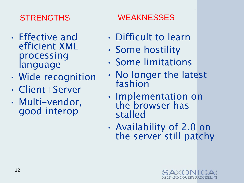- Effective and efficient XML processing language
- Wide recognition
- Client+Server
- Multi-vendor, good interop

### STRENGTHS WEAKNESSES

- Difficult to learn
- Some hostility
- Some limitations
- No longer the latest fashion
- Implementation on the browser has stalled
- Availability of 2.0 on the server still patchy

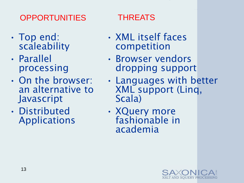### OPPORTUNITIES THREATS

- Top end: scaleability
- Parallel processing
- On the browser: an alternative to Javascript
- Distributed Applications

- XML itself faces competition
- Browser vendors dropping support
- Languages with better XML support (Linq, Scala)
- XQuery more fashionable in academia

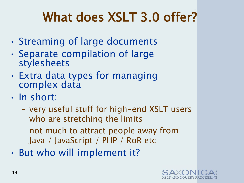# What does XSLT 3.0 offer?

- Streaming of large documents
- Separate compilation of large stylesheets
- Extra data types for managing complex data
- In short:
	- very useful stuff for high-end XSLT users who are stretching the limits
	- not much to attract people away from Java / JavaScript / PHP / RoR etc
- But who will implement it?

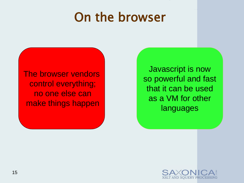## On the browser

The browser vendors control everything; no one else can make things happen

Javascript is now so powerful and fast that it can be used as a VM for other languages

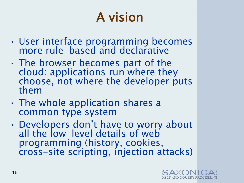# A vision

- User interface programming becomes more rule-based and declarative
- The browser becomes part of the cloud: applications run where they choose, not where the developer puts them
- The whole application shares a common type system
- Developers don't have to worry about all the low-level details of web programming (history, cookies, cross-site scripting, injection attacks)

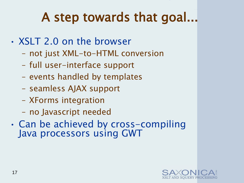# A step towards that goal...

- XSLT 2.0 on the browser
	- not just XML-to-HTML conversion
	- full user-interface support
	- events handled by templates
	- seamless AJAX support
	- XForms integration
	- no Javascript needed
- Can be achieved by cross-compiling Java processors using GWT